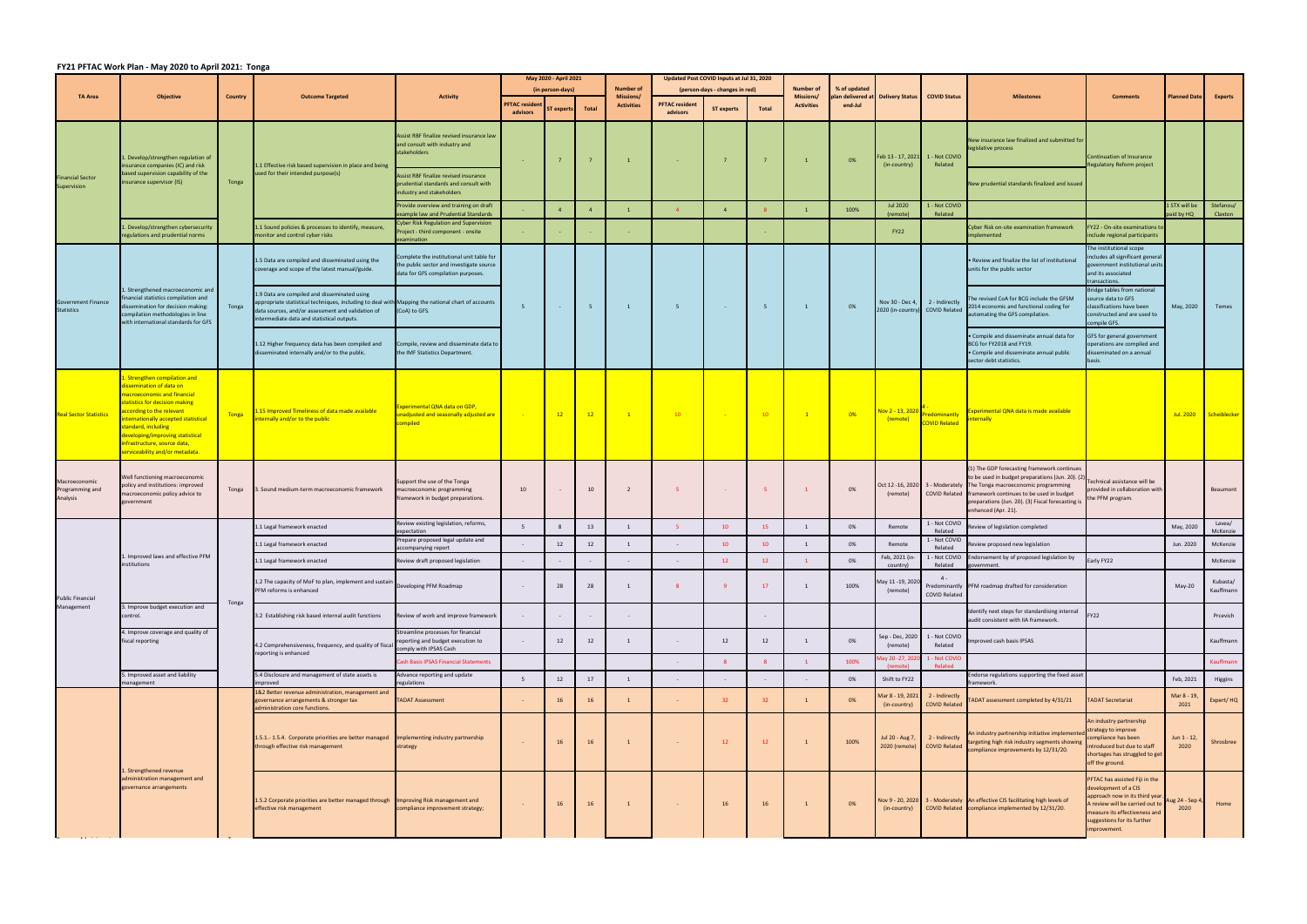## **FY21 PFTAC Work Plan ‐ May 2020 to April 2021: Tonga**

|                                                | <b>Objective</b>                                                                                                                                                                                                                                                                                                     | <b>Country</b> | <b>Outcome Targeted</b>                                                                                                                                                                                                                              | <b>Activity</b>                                                                                                             | May 2020 - April 2021<br>(in person-days) |                   |                | <b>Number of</b>                      | Updated Post COVID Inputs at Jul 31, 2020<br>(person-days - changes in red) |                   |                | <b>Number of</b><br>% of updated |                              |                                  |                                                   |                                                                                                                                                                                                                                                                                                             |                                                                                                                                                                                                             |                            |                       |
|------------------------------------------------|----------------------------------------------------------------------------------------------------------------------------------------------------------------------------------------------------------------------------------------------------------------------------------------------------------------------|----------------|------------------------------------------------------------------------------------------------------------------------------------------------------------------------------------------------------------------------------------------------------|-----------------------------------------------------------------------------------------------------------------------------|-------------------------------------------|-------------------|----------------|---------------------------------------|-----------------------------------------------------------------------------|-------------------|----------------|----------------------------------|------------------------------|----------------------------------|---------------------------------------------------|-------------------------------------------------------------------------------------------------------------------------------------------------------------------------------------------------------------------------------------------------------------------------------------------------------------|-------------------------------------------------------------------------------------------------------------------------------------------------------------------------------------------------------------|----------------------------|-----------------------|
| <b>TA Area</b>                                 |                                                                                                                                                                                                                                                                                                                      |                |                                                                                                                                                                                                                                                      |                                                                                                                             | <b>PFTAC resider</b><br>advisors          | <b>ST</b> experts | <b>Total</b>   | <b>Missions/</b><br><b>Activities</b> | <b>PFTAC resident</b><br>advisors                                           | <b>ST experts</b> | <b>Total</b>   | Missions/<br><b>Activities</b>   | olan delivered at<br>end-Jul | <b>Delivery Status</b>           | <b>COVID Status</b>                               | <b>Milestones</b>                                                                                                                                                                                                                                                                                           | <b>Comments</b>                                                                                                                                                                                             | <b>Planned Date</b>        | <b>Experts</b>        |
| <b>Financial Sector</b><br>Supervision         | Develop/strengthen regulation of<br>insurance companies (IC) and risk<br>based supervision capability of the<br>insurance supervisor (IS)<br>1. Develop/strengthen cybersecurity<br>regulations and prudential norms                                                                                                 | Tonga          | 1.1 Effective risk based supervision in place and being<br>used for their intended purpose(s)                                                                                                                                                        | Assist RBF finalize revised insurance law<br>and consult with industry and<br>stakeholders                                  | $\sim 10^{-1}$                            |                   |                | $\overline{1}$                        | $\sim$                                                                      | $7\overline{ }$   |                | $\overline{1}$                   | 0%                           | (in-country)                     | eb 13 - 17, 2021 1 - Not COVID<br>Related         | New insurance law finalized and submitted for<br>legislative process                                                                                                                                                                                                                                        | Continuation of Insurance<br>Regulatory Reform project                                                                                                                                                      |                            |                       |
|                                                |                                                                                                                                                                                                                                                                                                                      |                |                                                                                                                                                                                                                                                      | Assist RBF finalize revised insurance<br>prudential standards and consult with<br>industry and stakeholders                 |                                           |                   |                |                                       |                                                                             |                   |                |                                  |                              |                                  |                                                   | New prudential standards finalized and issued                                                                                                                                                                                                                                                               |                                                                                                                                                                                                             |                            |                       |
|                                                |                                                                                                                                                                                                                                                                                                                      |                |                                                                                                                                                                                                                                                      | Provide overview and training on draft<br>xample law and Prudential Standards                                               |                                           |                   |                | $\overline{1}$                        |                                                                             | $\overline{4}$    |                |                                  | 100%                         | <b>Jul 2020</b><br>(remote)      | 1 - Not COVID<br>Related                          |                                                                                                                                                                                                                                                                                                             |                                                                                                                                                                                                             | 1 STX will be<br>aid by HQ | Stefanou/<br>Claxton  |
|                                                |                                                                                                                                                                                                                                                                                                                      |                | 1.1 Sound policies & processes to identify, measure,<br>monitor and control cyber risks                                                                                                                                                              | Cyber Risk Regulation and Supervision<br>Project - third component - onsite<br>xamination                                   | $\sim$ $-$                                |                   |                | $\sim 10^{-1}$                        |                                                                             |                   |                |                                  |                              | <b>FY22</b>                      |                                                   | Cyber Risk on-site examination framework<br>implemented                                                                                                                                                                                                                                                     | FY22 - On-site examinations to<br>include regional participants                                                                                                                                             |                            |                       |
| <b>Government Finance</b><br><b>Statistics</b> | Strengthened macroeconomic and<br>nancial statistics compilation and<br>issemination for decision making:<br>compilation methodologies in line<br>with international standards for GFS                                                                                                                               | Tonga          | 1.5 Data are compiled and disseminated using the<br>coverage and scope of the latest manual/guide.                                                                                                                                                   | Complete the institutional unit table for<br>the public sector and investigate source<br>data for GFS compilation purposes. | - 5                                       |                   | 5 <sup>5</sup> | $\mathbf{1}$                          | 5 <sup>5</sup>                                                              | <b>Contract</b>   | 5 <sup>5</sup> | $\mathbf{1}$                     | 0%                           | Nov 30 - Dec 4,                  | 2 - Indirectly<br>2020 (in-country) COVID Related | . Review and finalize the list of institutional<br>units for the public sector                                                                                                                                                                                                                              | The institutional scope<br>includes all significant general<br>government institutional units<br>and its associated<br>transactions.                                                                        | May, 2020                  | Temes                 |
|                                                |                                                                                                                                                                                                                                                                                                                      |                | 1.9 Data are compiled and disseminated using<br>appropriate statistical techniques, including to deal with Mapping the national chart of accounts<br>data sources, and/or assessment and validation of<br>intermediate data and statistical outputs. | (CoA) to GFS.                                                                                                               |                                           |                   |                |                                       |                                                                             |                   |                |                                  |                              |                                  |                                                   | The revised CoA for BCG include the GFSM<br>2014 economic and functional coding for<br>automating the GFS compilation.                                                                                                                                                                                      | Bridge tables from national<br>ource data to GFS<br>classifications have been<br>constructed and are used to<br>compile GFS.                                                                                |                            |                       |
|                                                |                                                                                                                                                                                                                                                                                                                      |                | 1.12 Higher frequency data has been compiled and<br>disseminated internally and/or to the public.                                                                                                                                                    | Compile, review and disseminate data to<br>the IMF Statistics Department.                                                   |                                           |                   |                |                                       |                                                                             |                   |                |                                  |                              |                                  |                                                   | · Compile and disseminate annual data for<br>BCG for FY2018 and FY19.<br>• Compile and disseminate annual public<br>sector debt statistics.                                                                                                                                                                 | GFS for general government<br>operations are compiled and<br>disseminated on a annual<br>basis.                                                                                                             |                            |                       |
| <b>Real Sector Statistics</b>                  | . Strengthen compilation and<br>issemination of data on<br>nacroeconomic and financial<br>tatistics for decision making<br>ccording to the relevant<br>nternationally accepted statistical<br>tandard, including<br>eveloping/improving statistical<br>nfrastructure, source data,<br>erviceability and/or metadata. | Tonga          | .15 Improved Timeliness of data made available<br>nternally and/or to the public                                                                                                                                                                     | Experimental QNA data on GDP,<br>nadjusted and seasonally adjusted are<br>compiled                                          |                                           | 12                | 12             | $\mathbf{1}$                          | 10                                                                          | $\sim$ $\sim$     | 10             | $\mathbf{1}$                     | 0%                           | Nov 2 - 13, 202<br>(remote)      | redominantly<br><b>COVID Related</b>              | <b>Experimental QNA data is made available</b><br><b>ternally</b>                                                                                                                                                                                                                                           |                                                                                                                                                                                                             | Jul. 2020                  | Scheiblecker          |
| Macroeconomic<br>Programming and<br>Analysis   | Well functioning macroeconomic<br>oolicy and institutions: improved<br>macroeconomic policy advice to<br>overnment                                                                                                                                                                                                   | Tonga          | 3. Sound medium-term macroeconomic framework                                                                                                                                                                                                         | support the use of the Tonga<br>macroeconomic programming<br>ramework in budget preparations.                               | 10 <sup>10</sup>                          |                   | 10             | $\overline{2}$                        | - 5                                                                         | <b>Contract</b>   | -5             | $\mathbf{1}$                     | 0%                           | (remote)                         |                                                   | (1) The GDP forecasting framework continues<br>to be used in budget preparations (Jun. 20). (2)<br>Oct 12 -16, 2020 3 - Moderately The Tonga macroeconomic programming<br>COVID Related framework continues to be used in budget<br>preparations (Jun. 20). (3) Fiscal forecasting i<br>enhanced (Apr. 21). | echnical assistance will be<br>ovided in collaboration with<br>he PFM program.                                                                                                                              |                            | Beaumont              |
|                                                | 1. Improved laws and effective PFM<br>itutions<br>3. Improve budget execution and<br>control.                                                                                                                                                                                                                        |                | 1.1 Legal framework enacted                                                                                                                                                                                                                          | Review existing legislation, reforms,<br>xpectation                                                                         | - 5                                       |                   | 13             | 1                                     | -5                                                                          | 10                | 15             | 1                                | 0%                           | Remote                           | 1 - Not COVID<br>Related                          | Review of legislation completed                                                                                                                                                                                                                                                                             |                                                                                                                                                                                                             | May, 2020                  | Lavea/<br>McKenzie    |
|                                                |                                                                                                                                                                                                                                                                                                                      | Tonga          | 1.1 Legal framework enacted                                                                                                                                                                                                                          | repare proposed legal update and<br>accompanying report                                                                     |                                           | 12                | 12             | 1                                     |                                                                             | 10                | 10             | 1                                | 0%                           | Remote                           | 1 - Not COVID<br>Related                          | Review proposed new legislation                                                                                                                                                                                                                                                                             |                                                                                                                                                                                                             | Jun. 2020                  | McKenzie              |
|                                                |                                                                                                                                                                                                                                                                                                                      |                | 1.1 Legal framework enacted                                                                                                                                                                                                                          | Review draft proposed legislation                                                                                           | $\sim$                                    |                   |                |                                       |                                                                             | 12                | 12             |                                  | 0%                           | Feb, 2021 (in-<br>country)       | Related                                           | 1 - Not COVID Endorsement by of proposed legislation by<br>»vernment                                                                                                                                                                                                                                        | Early FY22                                                                                                                                                                                                  |                            | McKenzie              |
| <b>Public Financial</b>                        |                                                                                                                                                                                                                                                                                                                      |                | 1.2 The capacity of MoF to plan, implement and sustain<br>PFM reforms is enhanced                                                                                                                                                                    | Developing PFM Roadmap                                                                                                      |                                           | 28                | 28             | $\overline{1}$                        | 8                                                                           | 9                 | 17             | $\overline{1}$                   | 100%                         | May 11-19, 2020<br>(remote)      | $4 -$<br>Predominantly<br><b>COVID Related</b>    | PFM roadmap drafted for consideration                                                                                                                                                                                                                                                                       |                                                                                                                                                                                                             | May-20                     | Kubasta/<br>Kauffmann |
| Management                                     |                                                                                                                                                                                                                                                                                                                      |                | 3.2 Establishing risk based internal audit functions                                                                                                                                                                                                 | Review of work and improve framework                                                                                        | $\sim$                                    |                   |                | $\sim$                                |                                                                             |                   |                |                                  |                              |                                  |                                                   | Identify next steps for standardising internal<br>audit consistent with IIA framework.                                                                                                                                                                                                                      | <b>FY22</b>                                                                                                                                                                                                 |                            | Prcevich              |
|                                                | 4. Improve coverage and quality of<br>iscal reporting                                                                                                                                                                                                                                                                |                | 4.2 Comprehensiveness, frequency, and quality of fiscal<br>reporting is enhanced                                                                                                                                                                     | Streamline processes for financial<br>reporting and budget execution to<br>comply with IPSAS Cash                           | $\sim$                                    | 12                | 12             | 1                                     | $\sim$                                                                      | 12                | 12             |                                  | 0%                           | Sep - Dec, 2020<br>(remote)      | 1 - Not COVID<br>Related                          | mproved cash basis IPSAS                                                                                                                                                                                                                                                                                    |                                                                                                                                                                                                             |                            | Kauffmann             |
|                                                |                                                                                                                                                                                                                                                                                                                      |                |                                                                                                                                                                                                                                                      | <b>Cash Basis IPSAS Financial Statements</b>                                                                                |                                           |                   |                |                                       |                                                                             | 8                 |                |                                  | 100%                         | 1ay 20 -27, 21<br>(remote)       | 1 - Not COVII<br>Related                          |                                                                                                                                                                                                                                                                                                             |                                                                                                                                                                                                             |                            | Kauffmann             |
|                                                | 5. Improved asset and liability<br>nanagement                                                                                                                                                                                                                                                                        |                | 5.4 Disclosure and management of state assets is<br>nproved                                                                                                                                                                                          | Advance reporting and update<br>egulations                                                                                  | -5                                        | 12                | 17             | $\overline{1}$                        |                                                                             | $\sim$            |                |                                  | 0%                           | Shift to FY22                    |                                                   | Endorse regulations supporting the fixed asset<br>framework.                                                                                                                                                                                                                                                |                                                                                                                                                                                                             | Feb, 2021                  | Higgins               |
|                                                | Strengthened revenue<br>administration management and<br>governance arrangements                                                                                                                                                                                                                                     |                | 1&2 Better revenue administration, management and<br>governance arrangements & stronger tax<br>administration core functions.                                                                                                                        | <b>TADAT Assessment</b>                                                                                                     |                                           | 16                | 16             | 1                                     | $\sim$                                                                      | 32 <sup>2</sup>   | 32             |                                  | 0%                           | Mar 8 - 19, 2021<br>(in-country) | 2 - Indirectly<br><b>COVID Related</b>            | ADAT assessment completed by 4/31/21                                                                                                                                                                                                                                                                        | <b>ADAT Secretariat</b>                                                                                                                                                                                     | Mar 8 - 19,<br>2021        | Expert/HQ             |
|                                                |                                                                                                                                                                                                                                                                                                                      |                | 1.5.1.-1.5.4. Corporate priorities are better managed Implementing industry partnership<br>through effective risk management                                                                                                                         | trategy                                                                                                                     |                                           | 16                | 16             |                                       | $\sim$                                                                      | 12                | 12             | $\overline{1}$                   | 100%                         | Jul 20 - Aug 7,<br>2020 (remote) | 2 - Indirectly<br><b>COVID Related</b>            | An industry partnership initiative implement<br>targeting high risk industry segments showing<br>compliance improvements by 12/31/20.                                                                                                                                                                       | In industry partnership<br>strategy to improve<br>ompliance has been<br>itroduced but due to staff<br>shortages has struggled to get<br>off the ground.                                                     | Jun 1 - 12,<br>2020        | Shrosbree             |
|                                                |                                                                                                                                                                                                                                                                                                                      |                | 1.5.2 Corporate priorities are better managed through Improving Risk management and<br>effective risk management                                                                                                                                     | compliance improvement strategy;                                                                                            |                                           | 16                | 16             |                                       | $\sim$                                                                      | 16                | 16             | $\overline{1}$                   | 0%                           | Nov 9 - 20, 2020<br>(in-country) |                                                   | 3 - Moderately An effective CIS facilitating high levels of<br>COVID Related compliance implemented by 12/31/20.                                                                                                                                                                                            | PFTAC has assisted Fiji in the<br>development of a CIS<br>approach now in its third year<br>I review will be carried out to<br>measure its effectiveness and<br>suggestions for its further<br>improvement. | ug 24 - Sep 4<br>2020      | Home                  |